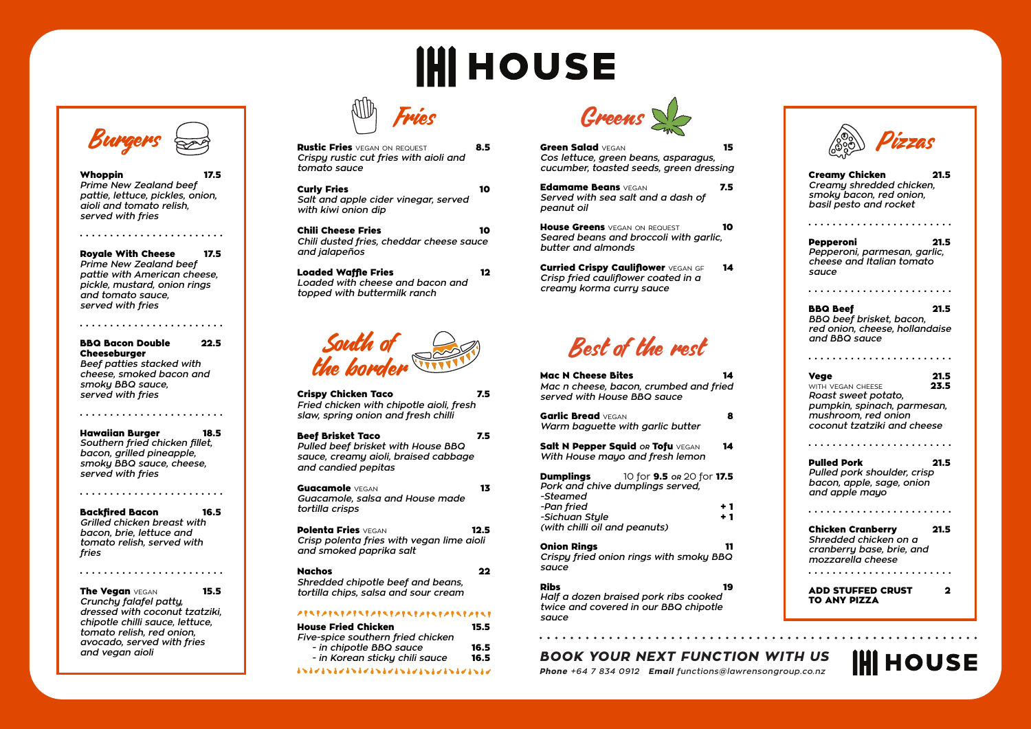# **IHI HOUSE**













Whoppin *Prime New Zealand beef pattie, lettuce, pickles, onion, aioli and tomato relish, served with fries*

. . . . . . . . . . . . . . . . . . . . . . . .

Royale With Cheese 17.5 *Prime New Zealand beef pattie with American cheese, pickle, mustard, onion rings and tomato sauce, served with fries*

. . . . . . . . . . . . . . . . . . . . . . . .

. . . . . . . . . . . . . . . . . . . . . . . . The Vegan VEGAN 15.5

| <b>BBQ Bacon Double</b>          | 22.5 |
|----------------------------------|------|
| <b>Cheeseburger</b>              |      |
| <b>Beef patties stacked with</b> |      |
| cheese, smoked bacon and         |      |

*smoky BBQ sauce, served with fries*

. . . . . . . . . . . . . . . . . . . . . . . .

Hawaiian Burger 18.5 *Southern fried chicken fillet, bacon, grilled pineapple, smoky BBQ sauce, cheese, served with fries*

. . . . . . . . . . . . . . . . . . . . . . . .

**Rustic Fries** vegan on request **8.5** *Crispy rustic cut fries with aioli and tomato sauce*

Backfired Bacon 16.5 *Grilled chicken breast with bacon, brie, lettuce and tomato relish, served with fries*

*Crunchy falafel patty, dressed with coconut tzatziki, chipotle chilli sauce, lettuce, tomato relish, red onion, avocado, served with fries and vegan aioli*

Mac N Cheese Bites *Mac n cheese, bacon, crumbed and fried served with House BBQ sauce* Garlic Bread VEGAN 8 *Warm baguette with garlic butter* Salt N Pepper Squid or Tofu VEGAN 14 *With House mayo and fresh lemon* **Dumplings** 10 for **9.5** *or* 20 for **17.5** *Pork and chive dumplings served, -Steamed -Pan fried* + 1 *-Sichuan Style* + 1 *(with chilli oil and peanuts)* Onion Rings 11 *Crispy fried onion rings with smoky BBQ sauce* Ribs 19 *Half a dozen braised pork ribs cooked twice and covered in our BBQ chipotle* 

Green Salad VEGAN 15 *Cos lettuce, green beans, asparagus, cucumber, toasted seeds, green dressing* Edamame Beans VEGAN 7.5 *Served with sea salt and a dash of peanut oil*

House Greens vegan on request 10 *Seared beans and broccoli with garlic, butter and almonds*

| Crispy Chicken Taco<br>Fried chicken with chipotle aioli, fresh<br>slaw, spring onion and fresh chilli                 | 7.5  |
|------------------------------------------------------------------------------------------------------------------------|------|
| Beef Brisket Taco<br>Pulled beef brisket with House BBQ<br>sauce, creamy aioli, braised cabbage<br>and candied pepitas | 7.5  |
| <b>Guacamole</b> VEGAN<br>Guacamole, salsa and House made<br>tortilla crisps                                           | 13   |
| <b>Polenta Fries</b> vegan<br>Crisp polenta fries with vegan lime aioli<br>and smoked paprika salt                     | 12.5 |
| Nachos<br>Shredded chipotle beef and beans,<br>tortilla chips, salsa and sour cream                                    | 22.  |
| ,,,,,,,,,,,,,,,,,,,<br>,,,,,,,,,,,<br>House Fried Chicken                                                              | 15.5 |

Curried Crispy Cauliflower VEGAN GF 14 *Crisp fried cauliflower coated in a creamy korma curry sauce*

> BBQ Beef 21.5 *BBQ beef brisket, bacon, red onion, cheese, hollandaise and BBQ sauce*

Curly Fries 10 *Salt and apple cider vinegar, served with kiwi onion dip*

> **Vege** 21.5<br>
> WITH VEGAN CHEESE 23.5 WITH VEGAN CHEESE *Roast sweet potato, pumpkin, spinach, parmesan, mushroom, red onion coconut tzatziki and cheese*

> Pulled Pork 21.5 *Pulled pork shoulder, crisp bacon, apple, sage, onion and apple mayo*

Chili Cheese Fries 10 *Chili dusted fries, cheddar cheese sauce and jalapeños*

Loaded Waffle Fries 12 *Loaded with cheese and bacon and topped with buttermilk ranch*

> ADD STUFFED CRUST 2 TO ANY PIZZA

## **IHI HOUSE**

*sauce*

*BOOK YOUR NEXT FUNCTION WITH US*

*Phone +64 7 834 0912 Email functions@lawrensongroup.co.nz*

Creamy Chicken 21.5 *Creamy shredded chicken, smoky bacon, red onion, basil pesto and rocket*

. . . . . . . . . . . . . . . . . . . . . . . .

Pepperoni 21.5 *Pepperoni, parmesan, garlic, cheese and Italian tomato sauce*

. . . . . . . . . . . . . . . . . . . . . . . .

. . . . . . . . . . . . . . . . . . . . . . . .

. . . . . . . . . . . . . . . . . . . . . . . .

. . . . . . . . . . . . . . . . . . . . . . . .

Chicken Cranberry 21.5 *Shredded chicken on a cranberry base, brie, and mozzarella cheese* . . . . . . . . . . . . . . . . . . . . . . . .

| <b>House Fried Chicken</b>        | 15.5 |
|-----------------------------------|------|
| Five-spice southern fried chicken |      |
| - in chipotle BBQ sauce           | 16.5 |
| - in Korean sticky chili sauce    | 16.5 |
| 8587858785878587857857857857587   |      |